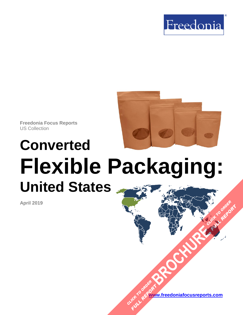



**Freedonia Focus Reports** US Collection

# **Converted Flexible Packaging: United States**

**April 2019**

**[www.freedoniafocusreports.com](https://www.freedoniafocusreports.com/redirect.asp?progid=89534&url=/)** CLICK TO ORDER **FULL REPORT** 

**[BROCHURE](https://www.freedoniafocusreports.com/Converted-Flexible-Packaging-United-States-FF30014/?progid=89541) CLICK TO ORDER** 

**FULL REPORT**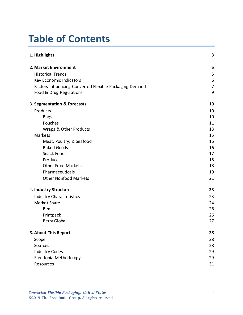# **Table of Contents**

| 1. Highlights                                           | 3  |
|---------------------------------------------------------|----|
| 2. Market Environment                                   | 5  |
| <b>Historical Trends</b>                                | 5  |
| Key Economic Indicators                                 | 6  |
| Factors Influencing Converted Flexible Packaging Demand | 7  |
| Food & Drug Regulations                                 | 9  |
| 3. Segmentation & Forecasts                             | 10 |
| Products                                                | 10 |
| <b>Bags</b>                                             | 10 |
| Pouches                                                 | 11 |
| Wraps & Other Products                                  | 13 |
| Markets                                                 | 15 |
| Meat, Poultry, & Seafood                                | 16 |
| <b>Baked Goods</b>                                      | 16 |
| Snack Foods                                             | 17 |
| Produce                                                 | 18 |
| <b>Other Food Markets</b>                               | 18 |
| Pharmaceuticals                                         | 19 |
| <b>Other Nonfood Markets</b>                            | 21 |
| 4. Industry Structure                                   | 23 |
| <b>Industry Characteristics</b>                         | 23 |
| Market Share                                            | 24 |
| <b>Bemis</b>                                            | 26 |
| Printpack                                               | 26 |
| <b>Berry Global</b>                                     | 27 |
| 5. About This Report                                    | 28 |
| Scope                                                   | 28 |
| Sources                                                 | 28 |
| <b>Industry Codes</b>                                   | 29 |
| Freedonia Methodology                                   | 29 |
| Resources                                               | 31 |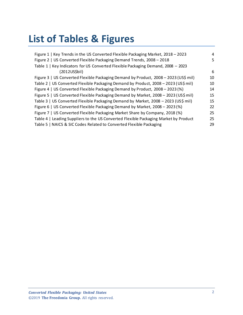# **List of Tables & Figures**

| Figure 1   Key Trends in the US Converted Flexible Packaging Market, 2018 - 2023     | 4  |
|--------------------------------------------------------------------------------------|----|
| Figure 2   US Converted Flexible Packaging Demand Trends, 2008 - 2018                | 5  |
| Table 1   Key Indicators for US Converted Flexible Packaging Demand, 2008 - 2023     |    |
| (2012US\$bil)                                                                        | 6  |
| Figure 3   US Converted Flexible Packaging Demand by Product, 2008 - 2023 (US\$ mil) | 10 |
| Table 2   US Converted Flexible Packaging Demand by Product, 2008 - 2023 (US\$ mil)  | 10 |
| Figure 4   US Converted Flexible Packaging Demand by Product, 2008 - 2023 (%)        | 14 |
| Figure 5   US Converted Flexible Packaging Demand by Market, 2008 - 2023 (US\$ mil)  | 15 |
| Table 3   US Converted Flexible Packaging Demand by Market, 2008 - 2023 (US\$ mil)   | 15 |
| Figure 6   US Converted Flexible Packaging Demand by Market, 2008 - 2023 (%)         | 22 |
| Figure 7   US Converted Flexible Packaging Market Share by Company, 2018 (%)         | 25 |
| Table 4   Leading Suppliers to the US Converted Flexible Packaging Market by Product | 25 |
| Table 5   NAICS & SIC Codes Related to Converted Flexible Packaging                  | 29 |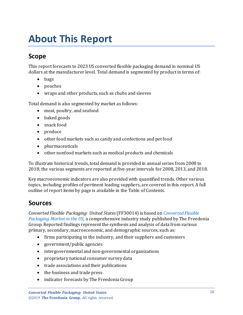# <span id="page-3-0"></span>**About This Report**

## <span id="page-3-1"></span>**Scope**

This report forecasts to 2023 US converted flexible packaging demand in nominal US dollars at the manufacturer level. Total demand is segmented by productin terms of:

- bags
- pouches
- wraps and other products, such as chubs and sleeves

Total demand is also segmented by market as follows:

- meat, poultry, and seafood
- baked goods
- snack food
- produce
- other food markets such as candy and confections and pet food
- pharmaceuticals
- other nonfood markets such as medical products and chemicals

To illustrate historical trends, total demand is provided in annual series from 2008 to 2018; the various segments are reported at five-year intervals for 2008, 2013, and 2018.

Key macroeconomic indicators are also provided with quantified trends. Other various topics, including profiles of pertinent leading suppliers, are covered in this report. A full outline of report items by page is available in the Table of Contents.

### <span id="page-3-2"></span>**Sources**

*Converted Flexible Packaging: United States*(FF30014) is based on *[Converted Flexible](http://www.freedoniagroup.com/DocumentDetails.aspx?ReferrerId=FL-FOCUS&studyid=3731)  [Packaging Market in the US,](http://www.freedoniagroup.com/DocumentDetails.aspx?ReferrerId=FL-FOCUS&studyid=3731)* a comprehensive industry study published by The Freedonia Group. Reported findings represent the synthesis and analysis of data from various primary, secondary, macroeconomic, and demographic sources, such as:

- firms participating in the industry, and their suppliers and customers
- government/public agencies
- intergovernmental and non-governmental organizations
- proprietary national consumer survey data
- trade associations and their publications
- the business and trade press
- indicator forecasts by The Freedonia Group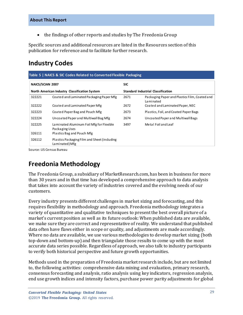• the findings of other reports and studies by The Freedonia Group

Specific sources and additional resources are listed in the Resources section of this publication for reference and to facilitate further research.

### <span id="page-4-0"></span>**Industry Codes**

<span id="page-4-2"></span>

| Table 5   NAICS & SIC Codes Related to Converted Flexible Packaging |                                                               |                                           |                                                            |  |
|---------------------------------------------------------------------|---------------------------------------------------------------|-------------------------------------------|------------------------------------------------------------|--|
| NAICS/SCIAN 2007                                                    |                                                               | <b>SIC</b>                                |                                                            |  |
| North American Industry Classification System                       |                                                               | <b>Standard Industrial Classification</b> |                                                            |  |
| 322221                                                              | Coated and Laminated Packaging Paper Mfg                      | 2671                                      | Packaging Paper and Plastics Film, Coated and<br>Laminated |  |
| 322222                                                              | Coated and Laminated Paper Mfg                                | 2672                                      | Coated and Laminated Paper, NEC                            |  |
| 322223                                                              | Coated Paper Bag and Pouch Mfg                                | 2673                                      | Plastics, Foil, and Coated Paper Bags                      |  |
| 322224                                                              | Uncoated Paper and Multiwall Bag Mfg                          | 2674                                      | Uncoated Paper and Multiwall Bags                          |  |
| 322225                                                              | La minated Aluminum Foil Mfg for Flexible<br>Packaging Uses   | 3497                                      | Metal Foil and Leaf                                        |  |
| 326111                                                              | Plastics Bag and Pouch Mfg                                    |                                           |                                                            |  |
| 326112                                                              | Plastics Packaging Film and Sheet (induding<br>Laminated) Mfg |                                           |                                                            |  |

Source: US Census Bureau

### <span id="page-4-1"></span>**Freedonia Methodology**

The Freedonia Group, a subsidiary of MarketResearch.com, has been in business for more than 30 years and in that time has developed a comprehensive approach to data analysis that takes into account the variety of industries covered and the evolving needs of our customers.

Every industry presents different challenges in market sizing and forecasting, and this requires flexibility in methodology and approach. Freedonia methodology integrates a variety of quantitative and qualitative techniques to present the best overall picture of a market's current position as well as its future outlook: When published data are available, we make sure they are correct and representative of reality. We understand that published data often have flaws either in scope or quality, and adjustments are made accordingly. Where no data are available, we use various methodologies to develop market sizing (both top-down and bottom-up) and then triangulate those results to come up with the most accurate data series possible. Regardless of approach, we also talk to industry participants to verify both historical perspective and future growth opportunities.

Methods used in the preparation of Freedonia market research include, but are not limited to, the following activities: comprehensive data mining and evaluation, primary research, consensus forecasting and analysis, ratio analysis using key indicators, regression analysis, end use growth indices and intensity factors, purchase power parity adjustments for global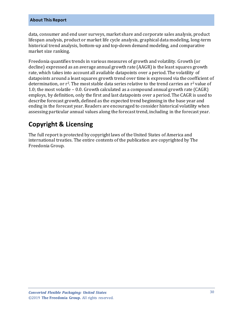#### **About This Report**

data, consumer and end user surveys, market share and corporate sales analysis, product lifespan analysis, product or market life cycle analysis, graphical data modeling, long-term historical trend analysis, bottom-up and top-down demand modeling, and comparative market size ranking.

Freedonia quantifies trends in various measures of growth and volatility. Growth (or decline) expressed as an average annual growth rate (AAGR) is the least squares growth rate, which takes into account all available datapoints over a period. The volatility of datapoints around a least squares growth trend over time is expressed via the coefficient of determination, or  $r^2$ . The most stable data series relative to the trend carries an  $r^2$  value of 1.0; the most volatile – 0.0. Growth calculated as a compound annual growth rate (CAGR) employs, by definition, only the first and last datapoints over a period. The CAGR is used to describe forecast growth, defined as the expected trend beginning in the base year and ending in the forecast year. Readers are encouraged to consider historical volatility when assessing particular annual values along the forecast trend, including in the forecast year.

# **Copyright & Licensing**

The full report is protected by copyright laws of the United States of America and international treaties. The entire contents of the publication are copyrighted by The Freedonia Group.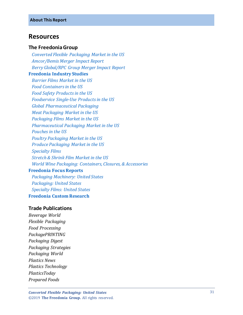#### <span id="page-6-0"></span>**Resources**

#### **The Freedonia Group**

 *[Converted Flexible Packaging Market in the US](http://www.freedoniagroup.com/DocumentDetails.aspx?ReferrerId=FL-FOCUS&studyid=3731) [Amcor/Bemis Merger Impact Report](https://www.freedoniagroup.com/industry-study/merger-impact-report-amcor-ltdbemis-IR13.htm) [Berry Global/RPC Group Merger Impact Report](https://www.freedoniagroup.com/industry-study/acquisition-impact-report-berry-globalrpc-group-IR14.htm)* **[Freedonia Industry Studies](http://www.freedoniagroup.com/Home.aspx?ReferrerId=FL-Focus)**  *[Barrier Films Market in the US](https://www.freedoniagroup.com/DocumentDetails.aspx?ReferrerId=FL-FOCUS&StudyId=3513) [Food Containers in the US](https://www.freedoniagroup.com/DocumentDetails.aspx?ReferrerId=FL-FOCUS&StudyId=3609) Food Safety [Productsin the US](https://www.freedoniagroup.com/DocumentDetails.aspx?ReferrerId=FL-FOCUS&StudyId=3613) [Foodservice Single-Use Products in the US](https://www.freedoniagroup.com/DocumentDetails.aspx?ReferrerId=FL-FOCUS&StudyId=3543) [Global Pharmaceutical Packaging](https://www.freedoniagroup.com/DocumentDetails.aspx?ReferrerId=FL-FOCUS&StudyId=3591) [Meat Packaging Market in the US](https://www.freedoniagroup.com/DocumentDetails.aspx?ReferrerId=FL-FOCUS&StudyId=3495) [Packaging Films Market in the US](https://www.freedoniagroup.com/DocumentDetails.aspx?ReferrerId=FL-FOCUS&StudyId=3529) [Pharmaceutical Packaging Market in the US](https://www.freedoniagroup.com/DocumentDetails.aspx?ReferrerId=FL-FOCUS&StudyId=3523) [Pouches in the US](https://www.freedoniagroup.com/DocumentDetails.aspx?ReferrerId=FL-FOCUS&StudyId=3665) [Poultry Packaging Market in the US](https://www.freedoniagroup.com/DocumentDetails.aspx?ReferrerId=FL-FOCUS&StudyId=3503) [Produce Packaging Market in the US](https://www.freedoniagroup.com/DocumentDetails.aspx?ReferrerId=FL-FOCUS&StudyId=3632) [Specialty Films](https://www.freedoniagroup.com/DocumentDetails.aspx?ReferrerId=FL-FOCUS&StudyId=3732) [Stretch & Shrink Film Market in the US](https://www.freedoniagroup.com/DocumentDetails.aspx?ReferrerId=FL-IS&StudyId=3561) [World Wine Packaging: Containers, Closures, & Accessories](https://www.freedoniagroup.com/DocumentDetails.aspx?ReferrerId=FL-FOCUS&StudyId=3406)* **[Freedonia Focus Reports](https://www.freedoniafocusreports.com/redirect.asp?progid=89534&url=/)**  *[Packaging Machinery: United States](https://www.freedoniafocusreports.com/Packaging-Machinery-United-States-FF75038/?progid=89534) [Packaging: United States](https://www.freedoniafocusreports.com/Packaging-United-States-FF30035/?progid=89534) [Specialty Films: United States](https://www.freedoniafocusreports.com/Specialty-Films-United-States-FF55048/?progid=89534)*

**[Freedonia Custom Research](http://www.freedoniagroup.com/CustomResearch.aspx?ReferrerId=FL-Focus)**

#### **Trade Publications**

*Beverage World Flexible Packaging Food Processing PackagePRINTING Packaging Digest Packaging Strategies Packaging World Plastics News Plastics Technology PlasticsToday Prepared Foods*